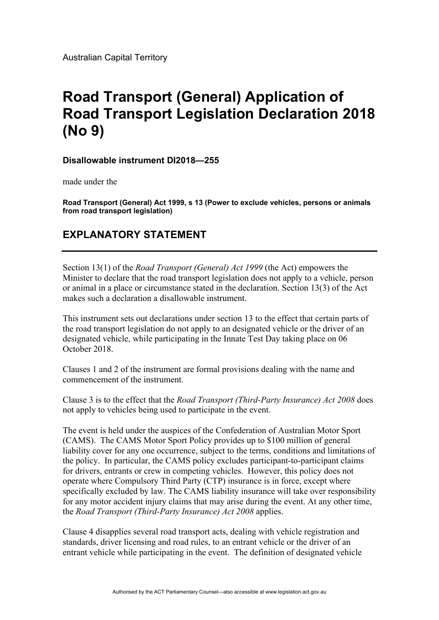Australian Capital Territory

## **Road Transport (General) Application of Road Transport Legislation Declaration 2018 (No 9)**

## **Disallowable instrument DI2018—255**

made under the

**Road Transport (General) Act 1999, s 13 (Power to exclude vehicles, persons or animals from road transport legislation)** 

## **EXPLANATORY STATEMENT**

Section 13(1) of the *Road Transport (General) Act 1999* (the Act) empowers the Minister to declare that the road transport legislation does not apply to a vehicle, person or animal in a place or circumstance stated in the declaration. Section 13(3) of the Act makes such a declaration a disallowable instrument.

This instrument sets out declarations under section 13 to the effect that certain parts of the road transport legislation do not apply to an designated vehicle or the driver of an designated vehicle, while participating in the Innate Test Day taking place on 06 October 2018.

Clauses 1 and 2 of the instrument are formal provisions dealing with the name and commencement of the instrument.

Clause 3 is to the effect that the *Road Transport (Third-Party Insurance) Act 2008* does not apply to vehicles being used to participate in the event.

The event is held under the auspices of the Confederation of Australian Motor Sport (CAMS). The CAMS Motor Sport Policy provides up to \$100 million of general liability cover for any one occurrence, subject to the terms, conditions and limitations of the policy. In particular, the CAMS policy excludes participant-to-participant claims for drivers, entrants or crew in competing vehicles. However, this policy does not operate where Compulsory Third Party (CTP) insurance is in force, except where specifically excluded by law. The CAMS liability insurance will take over responsibility for any motor accident injury claims that may arise during the event. At any other time, the *Road Transport (Third-Party Insurance) Act 2008* applies.

Clause 4 disapplies several road transport acts, dealing with vehicle registration and standards, driver licensing and road rules, to an entrant vehicle or the driver of an entrant vehicle while participating in the event. The definition of designated vehicle